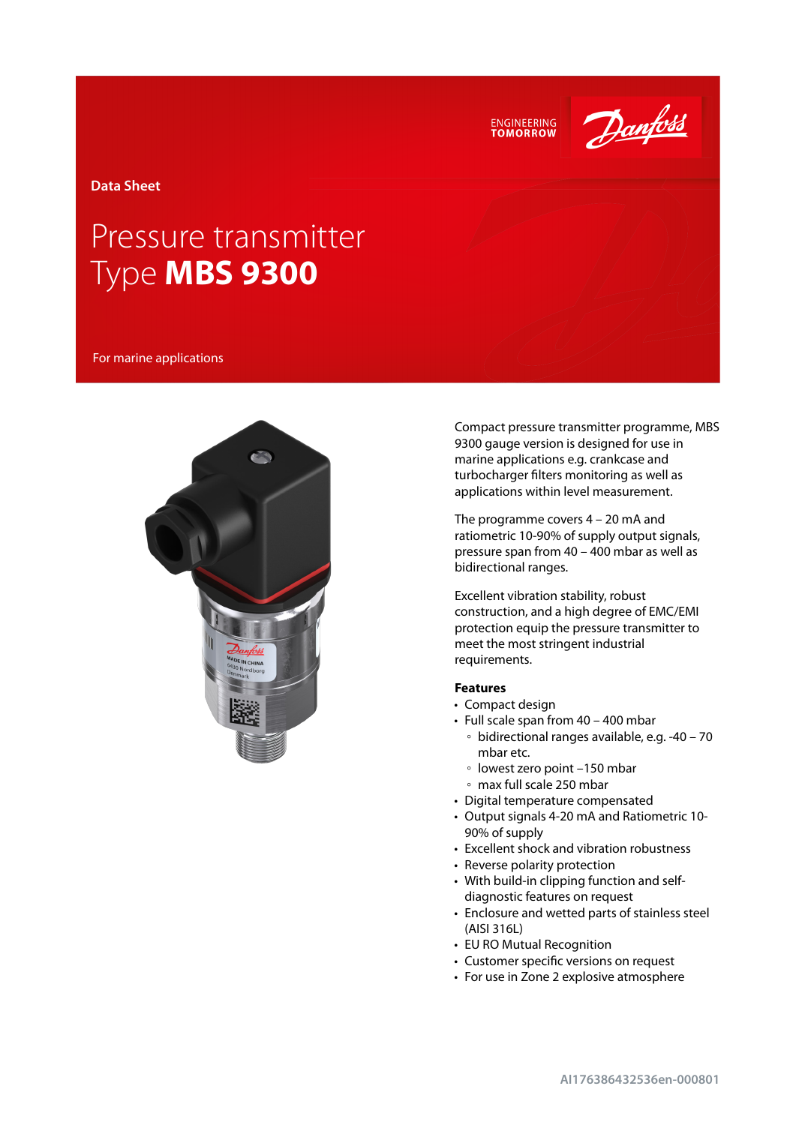



**Data Sheet**

# Pressure transmitter Type **MBS 9300**

For marine applications



Compact pressure transmitter programme, MBS 9300 gauge version is designed for use in marine applications e.g. crankcase and turbocharger filters monitoring as well as applications within level measurement.

The programme covers 4 – 20 mA and ratiometric 10-90% of supply output signals, pressure span from 40 – 400 mbar as well as bidirectional ranges.

Excellent vibration stability, robust construction, and a high degree of EMC/EMI protection equip the pressure transmitter to meet the most stringent industrial requirements.

### **Features**

- Compact design
- Full scale span from 40 400 mbar
	- bidirectional ranges available, e.g. -40 70 mbar etc.
	- lowest zero point –150 mbar
	- max full scale 250 mbar
- Digital temperature compensated
- Output signals 4-20 mA and Ratiometric 10- 90% of supply
- Excellent shock and vibration robustness
- Reverse polarity protection
- With build-in clipping function and selfdiagnostic features on request
- Enclosure and wetted parts of stainless steel (AISI 316L)
- EU RO Mutual Recognition
- Customer specific versions on request
- For use in Zone 2 explosive atmosphere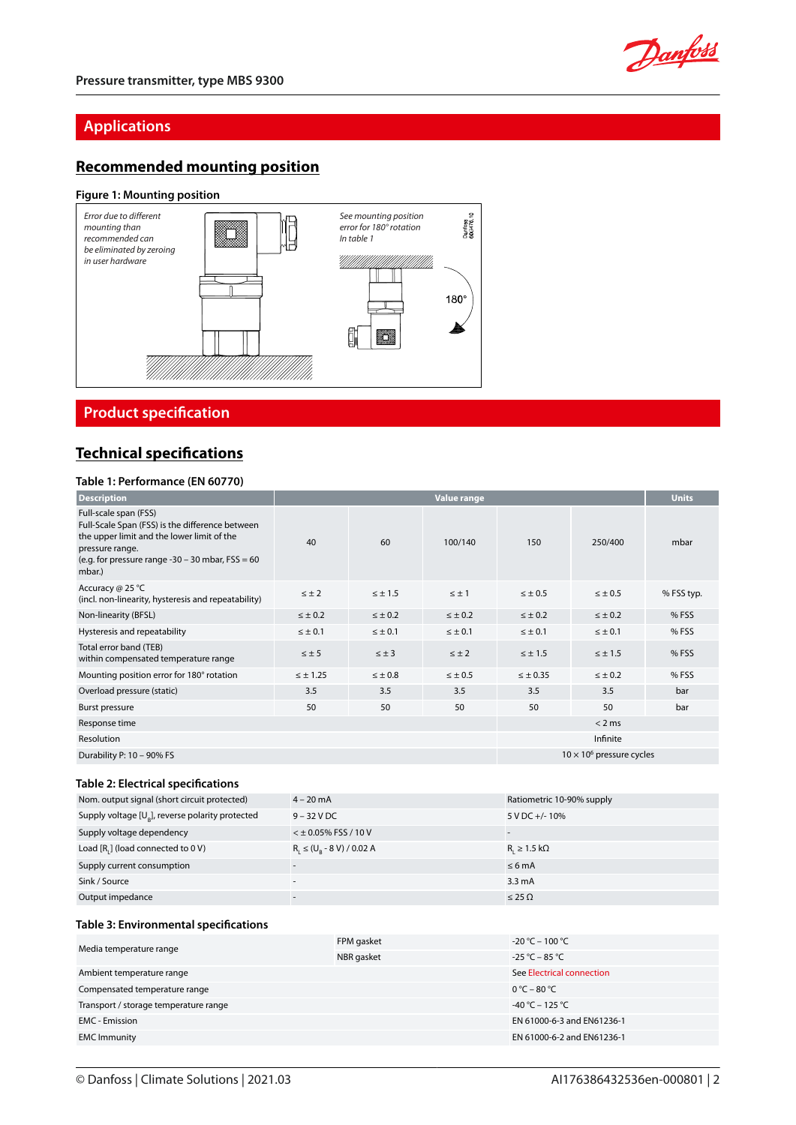

# **Applications**

# **Recommended mounting position**

### **Figure 1: Mounting position**



**Product specification** 

### **Technical specifications**

### **Table 1: Performance (EN 60770)**

| <b>Description</b>                                                                                                                                                                                        | <b>Value range</b> |                |                                  |                 | <b>Units</b>   |            |
|-----------------------------------------------------------------------------------------------------------------------------------------------------------------------------------------------------------|--------------------|----------------|----------------------------------|-----------------|----------------|------------|
| Full-scale span (FSS)<br>Full-Scale Span (FSS) is the difference between<br>the upper limit and the lower limit of the<br>pressure range.<br>(e.g. for pressure range -30 - 30 mbar, $FSS = 60$<br>mbar.) | 40                 | 60             | 100/140                          | 150             | 250/400        | mbar       |
| Accuracy @ 25 °C<br>(incl. non-linearity, hysteresis and repeatability)                                                                                                                                   | $\leq \pm 2$       | $\leq \pm 1.5$ | $\leq \pm 1$                     | $< \pm 0.5$     | $\leq \pm 0.5$ | % FSS typ. |
| Non-linearity (BFSL)                                                                                                                                                                                      | $\leq \pm 0.2$     | $\leq \pm 0.2$ | $\leq \pm 0.2$                   | $\leq \pm 0.2$  | $\leq \pm 0.2$ | % FSS      |
| Hysteresis and repeatability                                                                                                                                                                              | $\leq \pm 0.1$     | $\leq \pm 0.1$ | $\leq \pm 0.1$                   | $\leq \pm 0.1$  | $\leq \pm 0.1$ | % FSS      |
| Total error band (TEB)<br>within compensated temperature range                                                                                                                                            | $\leq \pm 5$       | $\leq \pm 3$   | $\leq \pm 2$                     | $\leq \pm 1.5$  | $\leq \pm 1.5$ | % FSS      |
| Mounting position error for 180° rotation                                                                                                                                                                 | $\leq \pm 1.25$    | $\leq \pm 0.8$ | $\leq \pm 0.5$                   | $\leq \pm 0.35$ | $\leq \pm 0.2$ | % FSS      |
| Overload pressure (static)                                                                                                                                                                                | 3.5                | 3.5            | 3.5                              | 3.5             | 3.5            | bar        |
| Burst pressure                                                                                                                                                                                            | 50                 | 50             | 50                               | 50              | 50             | bar        |
| Response time                                                                                                                                                                                             |                    |                |                                  |                 | < 2 ms         |            |
| Resolution                                                                                                                                                                                                |                    |                | Infinite                         |                 |                |            |
| Durability P: 10 - 90% FS                                                                                                                                                                                 |                    |                | $10 \times 10^6$ pressure cycles |                 |                |            |

### **Table 2: Electrical specifications**

| Nom. output signal (short circuit protected)          | $4 - 20$ mA                     | Ratiometric 10-90% supply   |
|-------------------------------------------------------|---------------------------------|-----------------------------|
| Supply voltage $[U_{R}]$ , reverse polarity protected | $9 - 32$ V DC                   | 5 V DC +/-10%               |
| Supply voltage dependency                             | $<$ $\pm$ 0.05% FSS / 10 V      |                             |
| Load [R,] (load connected to 0 V)                     | $R_1 \leq (U_p - 8 V) / 0.02 A$ | $R_{i} \geq 1.5$ k $\Omega$ |
| Supply current consumption                            |                                 | $\leq 6$ mA                 |
| Sink / Source                                         | $\overline{\phantom{a}}$        | $3.3 \text{ mA}$            |
| Output impedance                                      |                                 | $\leq$ 25 $\Omega$          |

#### **Table 3: Environmental specifications**

| Media temperature range               | FPM gasket | $-20 °C - 100 °C$               |
|---------------------------------------|------------|---------------------------------|
|                                       | NBR gasket | $-25 °C - 85 °C$                |
| Ambient temperature range             |            | See Electrical connection       |
| Compensated temperature range         |            | $0^{\circ}$ C – 80 $^{\circ}$ C |
| Transport / storage temperature range |            | $-40 °C - 125 °C$               |
| <b>EMC</b> - Emission                 |            | EN 61000-6-3 and EN61236-1      |
| <b>EMC Immunity</b>                   |            | EN 61000-6-2 and EN61236-1      |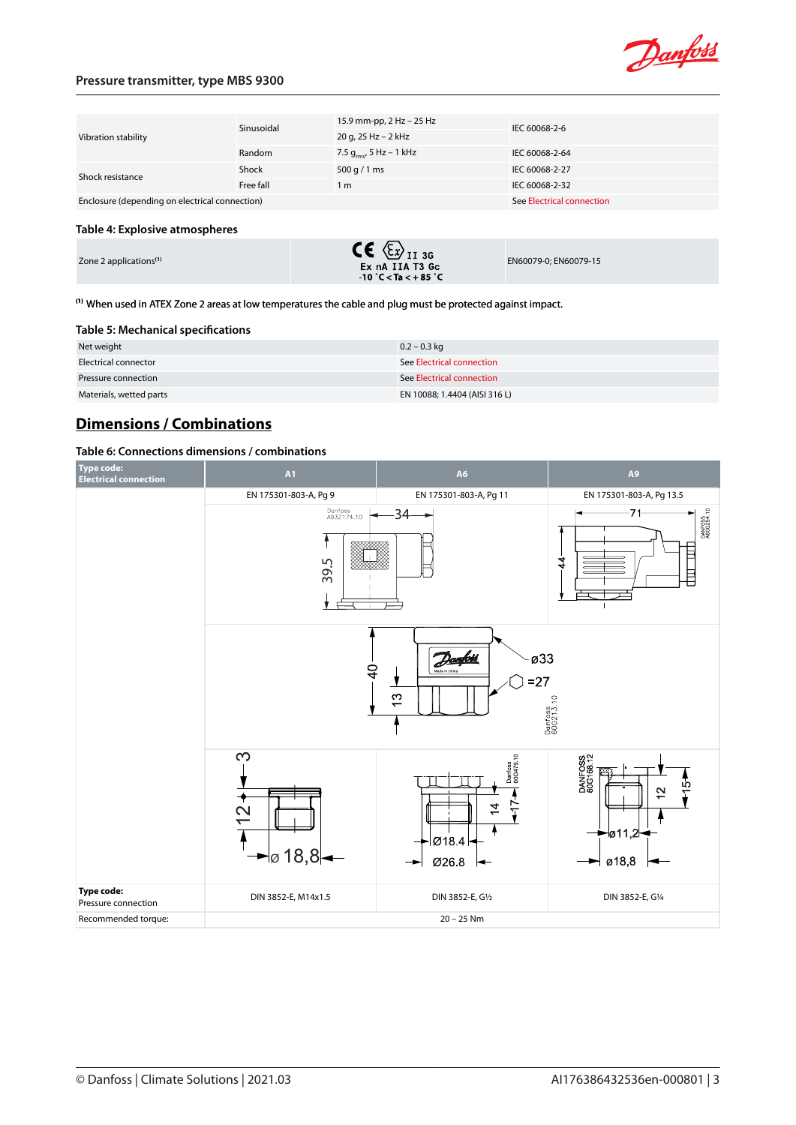

### **Pressure transmitter, type MBS 9300**

| Vibration stability                            | Sinusoidal | 15.9 mm-pp, 2 Hz - 25 Hz     | IEC 60068-2-6             |  |
|------------------------------------------------|------------|------------------------------|---------------------------|--|
|                                                |            | 20 g, 25 Hz - 2 kHz          |                           |  |
|                                                | Random     | 7.5 $g_{rms}$ , 5 Hz – 1 kHz | IEC 60068-2-64            |  |
| Shock resistance                               | Shock      | 500 g / 1 ms                 | IEC 60068-2-27            |  |
|                                                | Free fall  | 1 <sub>m</sub>               | IEC 60068-2-32            |  |
| Enclosure (depending on electrical connection) |            |                              | See Electrical connection |  |
|                                                |            |                              |                           |  |
| Table 4: Explosive atmospheres                 |            |                              |                           |  |

| Zone 2 applications <sup>(1)</sup> | $\mathsf{CE} \otimes_{\mathsf{II} 36}$<br>Ex nA IIA T3 Gc | EN60079-0: EN60079-15 |
|------------------------------------|-----------------------------------------------------------|-----------------------|
|                                    | $-10\degree$ C < Ta < $+85\degree$ C                      |                       |

**(1)** When used in ATEX Zone 2 areas at low temperatures the cable and plug must be protected against impact.

#### **Table 5: Mechanical specifications**

| Net weight              | $0.2 - 0.3$ kg                |
|-------------------------|-------------------------------|
| Electrical connector    | See Electrical connection     |
| Pressure connection     | See Electrical connection     |
| Materials, wetted parts | EN 10088; 1.4404 (AISI 316 L) |

# **Dimensions / Combinations**

### **Table 6: Connections dimensions / combinations**

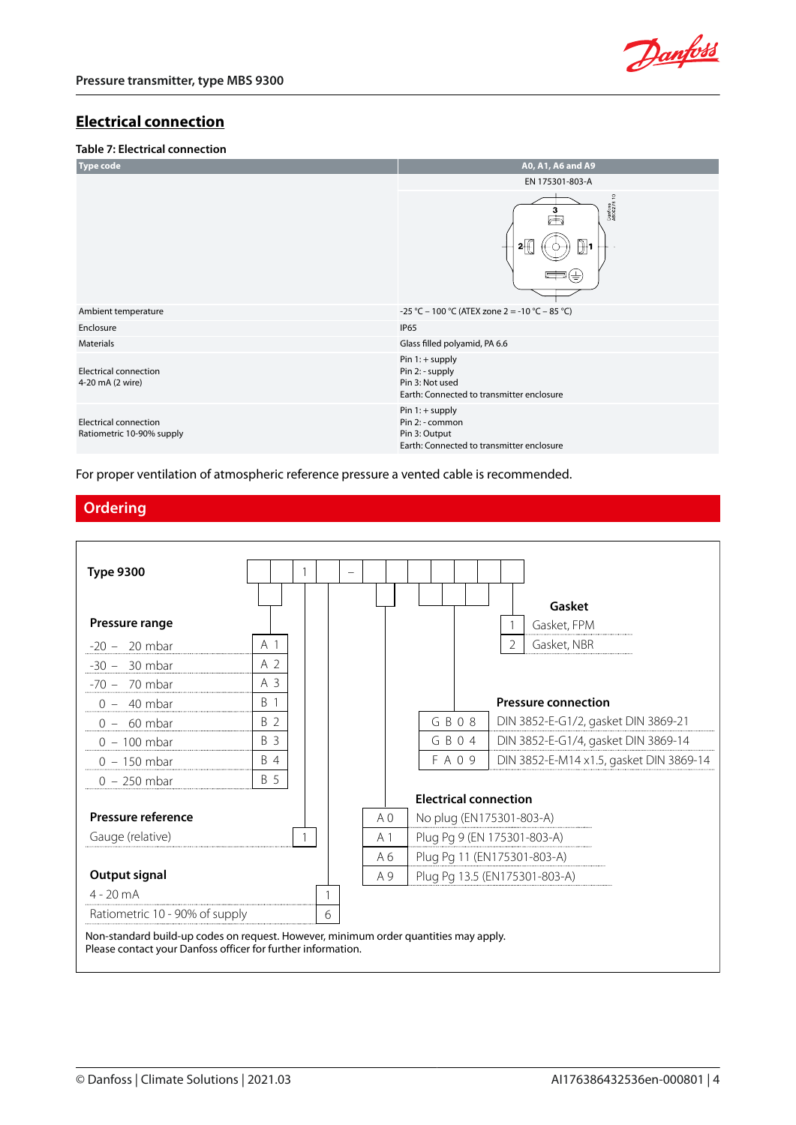

### <span id="page-3-0"></span>**Electrical connection**

### **Table 7: Electrical connection**



For proper ventilation of atmospheric reference pressure a vented cable is recommended.

### **Ordering**

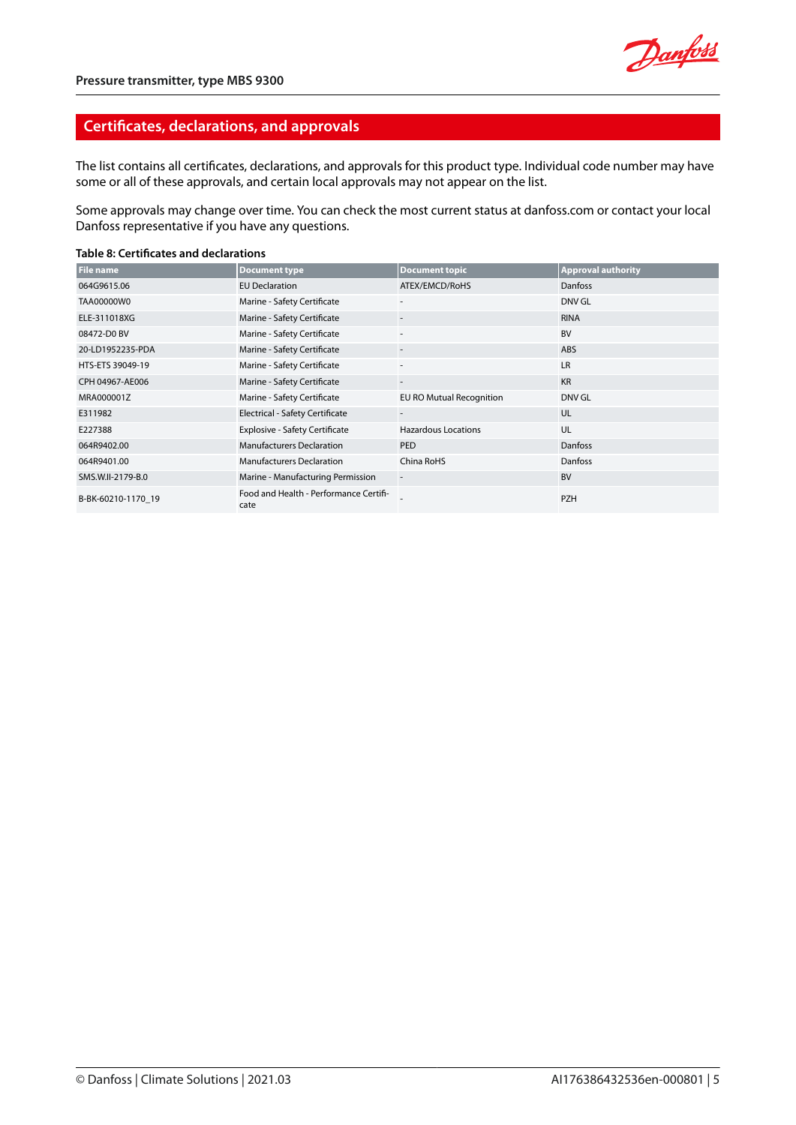

### **Certificates, declarations, and approvals**

The list contains all certificates, declarations, and approvals for this product type. Individual code number may have some or all of these approvals, and certain local approvals may not appear on the list.

Some approvals may change over time. You can check the most current status at danfoss.com or contact your local Danfoss representative if you have any questions.

#### **Table 8: Certificates and declarations**

| <b>File name</b>   | <b>Document type</b>                           | <b>Document topic</b>      | <b>Approval authority</b> |
|--------------------|------------------------------------------------|----------------------------|---------------------------|
| 064G9615.06        | <b>EU Declaration</b>                          | ATEX/EMCD/RoHS             | Danfoss                   |
| TAA00000W0         | Marine - Safety Certificate                    |                            | DNV GL                    |
| ELE-311018XG       | Marine - Safety Certificate                    |                            | <b>RINA</b>               |
| 08472-D0 BV        | Marine - Safety Certificate                    | $\sim$                     | <b>BV</b>                 |
| 20-LD1952235-PDA   | Marine - Safety Certificate                    | $\overline{\phantom{a}}$   | ABS                       |
| HTS-ETS 39049-19   | Marine - Safety Certificate                    | ٠                          | LR                        |
| CPH 04967-AE006    | Marine - Safety Certificate                    | $\overline{\phantom{a}}$   | <b>KR</b>                 |
| MRA000001Z         | Marine - Safety Certificate                    | EU RO Mutual Recognition   | DNV GL                    |
| E311982            | Electrical - Safety Certificate                |                            | <b>UL</b>                 |
| E227388            | <b>Explosive - Safety Certificate</b>          | <b>Hazardous Locations</b> | UL                        |
| 064R9402.00        | <b>Manufacturers Declaration</b>               | <b>PED</b>                 | Danfoss                   |
| 064R9401.00        | <b>Manufacturers Declaration</b>               | China RoHS                 | Danfoss                   |
| SMS.W.II-2179-B.0  | Marine - Manufacturing Permission              | $\overline{\phantom{a}}$   | <b>BV</b>                 |
| B-BK-60210-1170 19 | Food and Health - Performance Certifi-<br>cate |                            | <b>PZH</b>                |